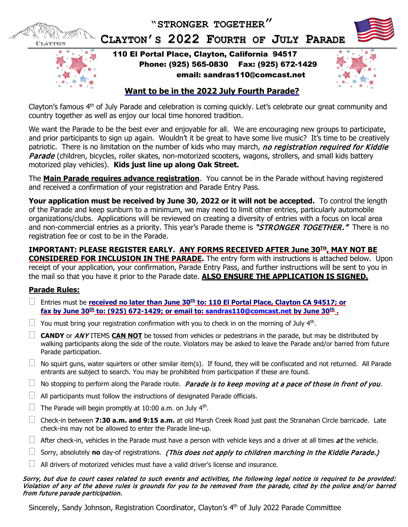**"STRONGER TOGETHER"**



**CLAYTON'S 2022 FOURTH OF JULY PARADE**



110 El Portal Place, Clayton, California 94517 Phone: (925) 565-0830 Fax: (925) 672-1429 email: sandras110@comcast.net



# **Want to be in the 2022 July Fourth Parade?**

Clayton's famous 4<sup>th</sup> of July Parade and celebration is coming quickly. Let's celebrate our great community and country together as well as enjoy our local time honored tradition.

We want the Parade to be the best ever and enjoyable for all. We are encouraging new groups to participate, and prior participants to sign up again. Wouldn't it be great to have some live music? It's time to be creatively patriotic. There is no limitation on the number of kids who may march, no registration required for Kiddie Parade (children, bicycles, roller skates, non-motorized scooters, wagons, strollers, and small kids battery motorized play vehicles). **Kids just line up along Oak Street.**

The **Main Parade requires advance registration**. You cannot be in the Parade without having registered and received a confirmation of your registration and Parade Entry Pass.

**Your application must be received by June 30, 2022 or it will not be accepted.** To control the length of the Parade and keep sunburn to a minimum, we may need to limit other entries, particularly automobile organizations/clubs. Applications will be reviewed on creating a diversity of entries with a focus on local area and non-commercial entries as a priority. This year's Parade theme is "STRONGER TOGETHER." There is no registration fee or cost to be in the Parade.

**IMPORTANT: PLEASE REGISTER EARLY. ANY FORMS RECEIVED AFTER June 30TH, MAY NOT BE CONSIDERED FOR INCLUSION IN THE PARADE.** The entry form with instructions is attached below. Upon receipt of your application, your confirmation, Parade Entry Pass, and further instructions will be sent to you in the mail so that you have it prior to the Parade date. **ALSO ENSURE THE APPLICATION IS SIGNED.**

## **Parade Rules:**

- Entries must be **received no later than June 30th to: 110 El Portal Place, Clayton CA 94517; or fax by June 30th to: (925) 672-1429; or email to: [sandras110@comcast.net](mailto:sandras110@comcast.net) by June 30th .**
- $\Box$  You must bring your registration confirmation with you to check in on the morning of July 4<sup>th</sup>.
- $\Box$  **CANDY** or *ANY* ITEMS CAN NOT be tossed from vehicles or pedestrians in the parade, but may be distributed by walking participants along the side of the route. Violators may be asked to leave the Parade and/or barred from future Parade participation.
- $\Box$  No squirt guns, water squirters or other similar item(s). If found, they will be confiscated and not returned. All Parade entrants are subject to search. You may be prohibited from participation if these are found.
- $\Box$  No stopping to perform along the Parade route. Parade is to keep moving at a pace of those in front of you.
- $\Box$  All participants must follow the instructions of designated Parade officials.
- $\Box$  The Parade will begin promptly at 10:00 a.m. on July 4<sup>th</sup>.
- Check-in between **7:30 a.m. and 9:15 a.m.** at old Marsh Creek Road just past the Stranahan Circle barricade. Late check-ins may not be allowed to enter the Parade line-up.
- After check-in, vehicles in the Parade must have a person with vehicle keys and a driver at all times  $at$  the vehicle.
- $\Box$  Sorry, absolutely **no** day-of registrations. (This does not apply to children marching in the Kiddie Parade.)
- $\Box$  All drivers of motorized vehicles must have a valid driver's license and insurance.

#### Sorry, but due to court cases related to such events and activities, the following legal notice is required to be provided: Violation of any of the above rules is grounds for you to be removed from the parade, cited by the police and/or barred from future parade participation.

Sincerely, Sandy Johnson, Registration Coordinator, Clayton's 4th of July 2022 Parade Committee